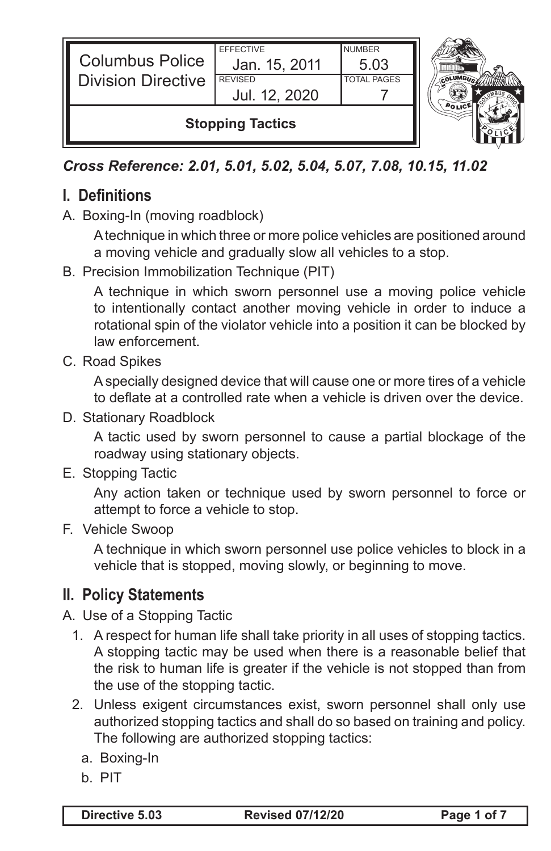| <b>Columbus Police</b><br><b>Division Directive</b> | <b>EFFECTIVE</b><br>Jan. 15, 2011<br><b>REVISED</b><br>Jul. 12, 2020 | <b>NUMBER</b><br>5.03<br><b>TOTAL PAGES</b> |  |
|-----------------------------------------------------|----------------------------------------------------------------------|---------------------------------------------|--|
| <b>Stopping Tactics</b>                             |                                                                      |                                             |  |

*Cross Reference: 2.01, 5.01, 5.02, 5.04, 5.07, 7.08, 10.15, 11.02* 

# **I. Definitions**

A. Boxing-In (moving roadblock)

A technique in which three or more police vehicles are positioned around a moving vehicle and gradually slow all vehicles to a stop.

B. Precision Immobilization Technique (PIT)

A technique in which sworn personnel use a moving police vehicle to intentionally contact another moving vehicle in order to induce a rotational spin of the violator vehicle into a position it can be blocked by law enforcement.

C. Road Spikes

A specially designed device that will cause one or more tires of a vehicle to deflate at a controlled rate when a vehicle is driven over the device.

D. Stationary Roadblock

A tactic used by sworn personnel to cause a partial blockage of the roadway using stationary objects.

E. Stopping Tactic

Any action taken or technique used by sworn personnel to force or attempt to force a vehicle to stop.

F. Vehicle Swoop

A technique in which sworn personnel use police vehicles to block in a vehicle that is stopped, moving slowly, or beginning to move.

## **II. Policy Statements**

- A. Use of a Stopping Tactic
	- 1. A respect for human life shall take priority in all uses of stopping tactics. A stopping tactic may be used when there is a reasonable belief that the risk to human life is greater if the vehicle is not stopped than from the use of the stopping tactic.
	- 2. Unless exigent circumstances exist, sworn personnel shall only use authorized stopping tactics and shall do so based on training and policy. The following are authorized stopping tactics:
		- a. Boxing-In
		- b. PIT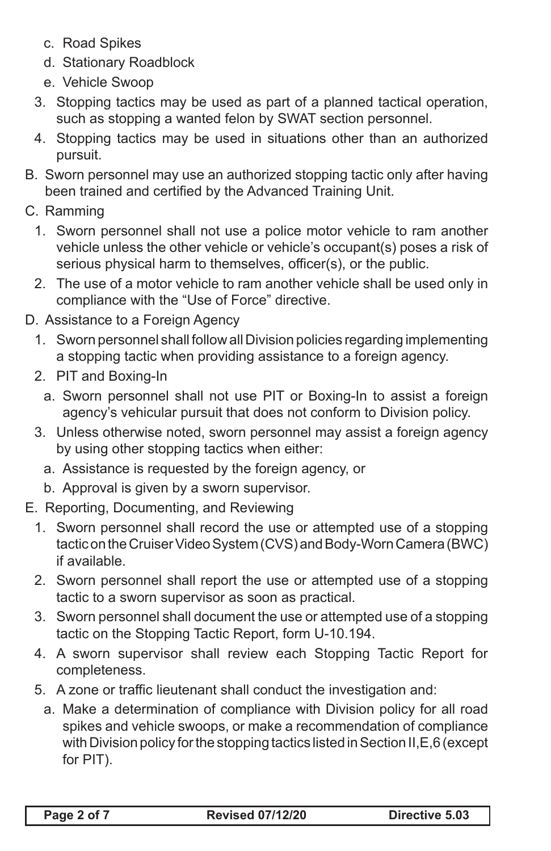- c. Road Spikes
- d. Stationary Roadblock
- e. Vehicle Swoop
- 3. Stopping tactics may be used as part of a planned tactical operation, such as stopping a wanted felon by SWAT section personnel.
- 4. Stopping tactics may be used in situations other than an authorized pursuit.
- B. Sworn personnel may use an authorized stopping tactic only after having been trained and certified by the Advanced Training Unit.
- C. Ramming
	- 1. Sworn personnel shall not use a police motor vehicle to ram another vehicle unless the other vehicle or vehicle's occupant(s) poses a risk of serious physical harm to themselves, officer(s), or the public.
	- 2. The use of a motor vehicle to ram another vehicle shall be used only in compliance with the "Use of Force" directive.
- D. Assistance to a Foreign Agency
	- 1. Sworn personnel shall follow all Division policies regarding implementing a stopping tactic when providing assistance to a foreign agency.
	- 2. PIT and Boxing-In
		- a. Sworn personnel shall not use PIT or Boxing-In to assist a foreign agency's vehicular pursuit that does not conform to Division policy.
	- 3. Unless otherwise noted, sworn personnel may assist a foreign agency by using other stopping tactics when either:
		- a. Assistance is requested by the foreign agency, or
		- b. Approval is given by a sworn supervisor.
- E. Reporting, Documenting, and Reviewing
	- 1. Sworn personnel shall record the use or attempted use of a stopping tactic on the Cruiser Video System (CVS) and Body-Worn Camera (BWC) if available.
	- 2. Sworn personnel shall report the use or attempted use of a stopping tactic to a sworn supervisor as soon as practical.
	- 3. Sworn personnel shall document the use or attempted use of a stopping tactic on the Stopping Tactic Report, form U-10.194.
	- 4. A sworn supervisor shall review each Stopping Tactic Report for completeness.
	- 5. A zone or traffic lieutenant shall conduct the investigation and:
		- a. Make a determination of compliance with Division policy for all road spikes and vehicle swoops, or make a recommendation of compliance with Division policy for the stopping tactics listed in Section II,E,6 (except for PIT).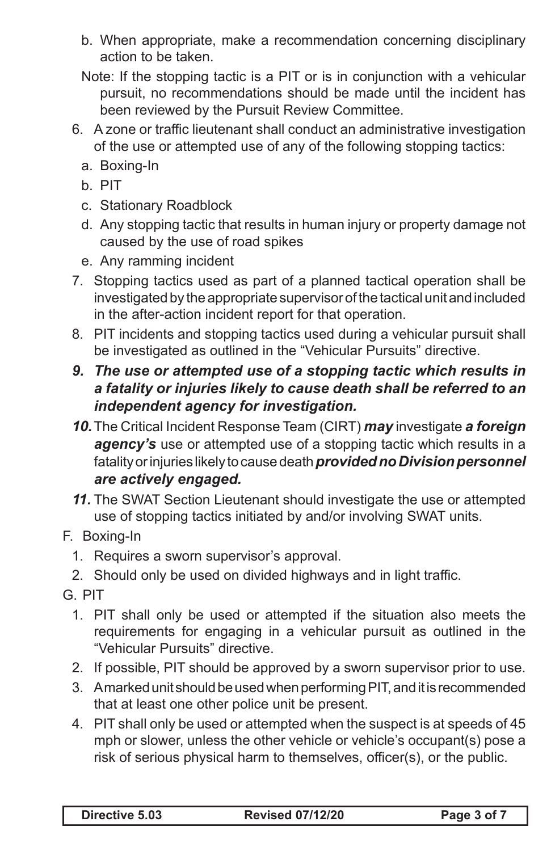- b. When appropriate, make a recommendation concerning disciplinary action to be taken.
- Note: If the stopping tactic is a PIT or is in conjunction with a vehicular pursuit, no recommendations should be made until the incident has been reviewed by the Pursuit Review Committee.
- 6. A zone or traffic lieutenant shall conduct an administrative investigation of the use or attempted use of any of the following stopping tactics:
	- a. Boxing-In
	- b. PIT
	- c. Stationary Roadblock
	- d. Any stopping tactic that results in human injury or property damage not caused by the use of road spikes
	- e. Any ramming incident
- 7. Stopping tactics used as part of a planned tactical operation shall be investigated by the appropriate supervisor of the tactical unit and included in the after-action incident report for that operation.
- 8. PIT incidents and stopping tactics used during a vehicular pursuit shall be investigated as outlined in the "Vehicular Pursuits" directive.

#### *9. The use or attempted use of a stopping tactic which results in a fatality or injuries likely to cause death shall be referred to an independent agency for investigation.*

- *10.*The Critical Incident Response Team (CIRT) *may* investigate *a foreign*  agency's use or attempted use of a stopping tactic which results in a fatality or injuries likely to cause death *provided no Division personnel are actively engaged.*
- *11.* The SWAT Section Lieutenant should investigate the use or attempted use of stopping tactics initiated by and/or involving SWAT units.

### F. Boxing-In

- 1. Requires a sworn supervisor's approval.
- 2. Should only be used on divided highways and in light traffic.
- G. PIT
	- 1. PIT shall only be used or attempted if the situation also meets the requirements for engaging in a vehicular pursuit as outlined in the "Vehicular Pursuits" directive.
	- 2. If possible, PIT should be approved by a sworn supervisor prior to use.
	- 3. A marked unit should be used when performing PIT, and it is recommended that at least one other police unit be present.
	- 4. PIT shall only be used or attempted when the suspect is at speeds of 45 mph or slower, unless the other vehicle or vehicle's occupant(s) pose a risk of serious physical harm to themselves, officer(s), or the public.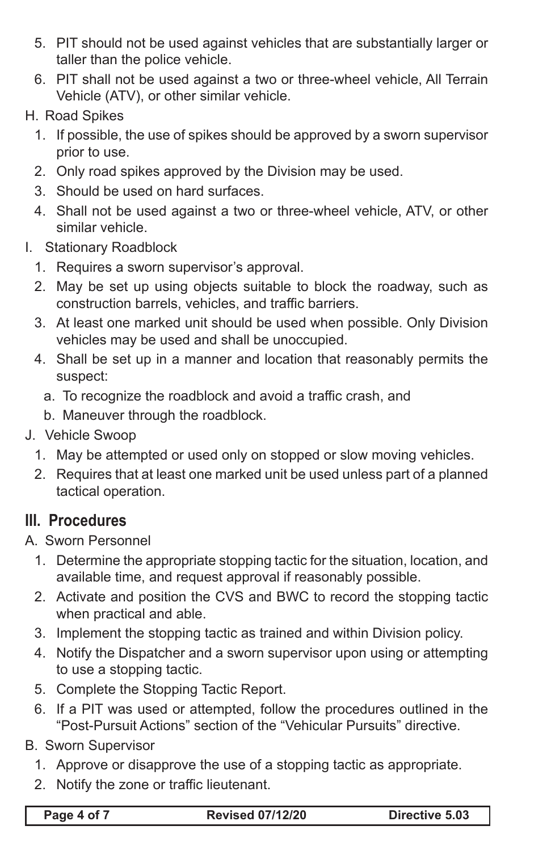- 5. PIT should not be used against vehicles that are substantially larger or taller than the police vehicle.
- 6. PIT shall not be used against a two or three-wheel vehicle, All Terrain Vehicle (ATV), or other similar vehicle.
- H. Road Spikes
	- 1. If possible, the use of spikes should be approved by a sworn supervisor prior to use.
	- 2. Only road spikes approved by the Division may be used.
	- 3. Should be used on hard surfaces.
	- 4. Shall not be used against a two or three-wheel vehicle, ATV, or other similar vehicle.
- I. Stationary Roadblock
	- 1. Requires a sworn supervisor's approval.
	- 2. May be set up using objects suitable to block the roadway, such as construction barrels, vehicles, and traffic barriers.
	- 3. At least one marked unit should be used when possible. Only Division vehicles may be used and shall be unoccupied.
	- 4. Shall be set up in a manner and location that reasonably permits the suspect:
		- a. To recognize the roadblock and avoid a traffic crash, and
		- b. Maneuver through the roadblock.
- J. Vehicle Swoop
	- 1. May be attempted or used only on stopped or slow moving vehicles.
	- 2. Requires that at least one marked unit be used unless part of a planned tactical operation.

## **III. Procedures**

A. Sworn Personnel

- 1. Determine the appropriate stopping tactic for the situation, location, and available time, and request approval if reasonably possible.
- 2. Activate and position the CVS and BWC to record the stopping tactic when practical and able.
- 3. Implement the stopping tactic as trained and within Division policy.
- 4. Notify the Dispatcher and a sworn supervisor upon using or attempting to use a stopping tactic.
- 5. Complete the Stopping Tactic Report.
- 6. If a PIT was used or attempted, follow the procedures outlined in the "Post-Pursuit Actions" section of the "Vehicular Pursuits" directive.
- B. Sworn Supervisor
	- 1. Approve or disapprove the use of a stopping tactic as appropriate.
	- 2. Notify the zone or traffic lieutenant.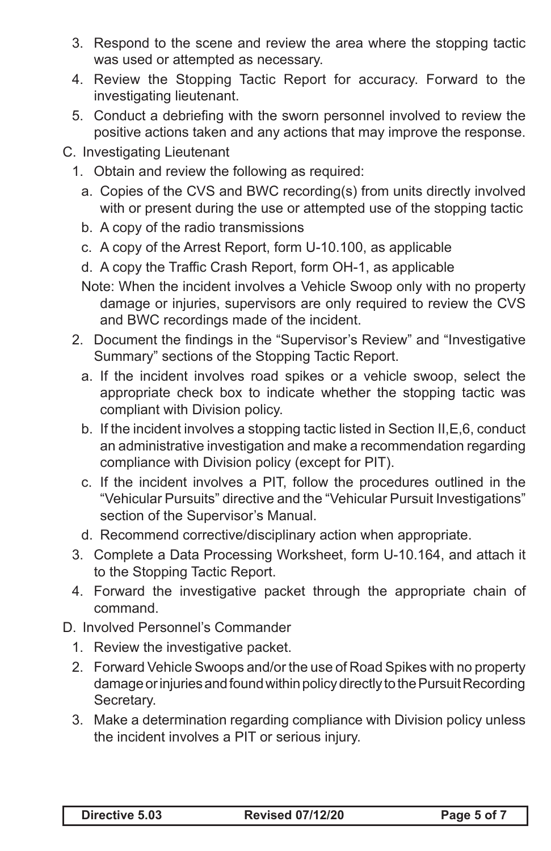- 3. Respond to the scene and review the area where the stopping tactic was used or attempted as necessary.
- 4. Review the Stopping Tactic Report for accuracy. Forward to the investigating lieutenant.
- 5. Conduct a debriefing with the sworn personnel involved to review the positive actions taken and any actions that may improve the response.
- C. Investigating Lieutenant
	- 1. Obtain and review the following as required:
		- a. Copies of the CVS and BWC recording(s) from units directly involved with or present during the use or attempted use of the stopping tactic
		- b. A copy of the radio transmissions
		- c. A copy of the Arrest Report, form U-10.100, as applicable
		- d. A copy the Traffic Crash Report, form OH-1, as applicable
		- Note: When the incident involves a Vehicle Swoop only with no property damage or injuries, supervisors are only required to review the CVS and BWC recordings made of the incident.
	- 2. Document the findings in the "Supervisor's Review" and "Investigative Summary" sections of the Stopping Tactic Report.
		- a. If the incident involves road spikes or a vehicle swoop, select the appropriate check box to indicate whether the stopping tactic was compliant with Division policy.
		- b. If the incident involves a stopping tactic listed in Section II,E,6, conduct an administrative investigation and make a recommendation regarding compliance with Division policy (except for PIT).
		- c. If the incident involves a PIT, follow the procedures outlined in the "Vehicular Pursuits" directive and the "Vehicular Pursuit Investigations" section of the Supervisor's Manual.
		- d. Recommend corrective/disciplinary action when appropriate.
	- 3. Complete a Data Processing Worksheet, form U-10.164, and attach it to the Stopping Tactic Report.
	- 4. Forward the investigative packet through the appropriate chain of command.
- D. Involved Personnel's Commander
	- 1. Review the investigative packet.
	- 2. Forward Vehicle Swoops and/or the use of Road Spikes with no property damage or injuries and found within policy directly to the Pursuit Recording Secretary.
	- 3. Make a determination regarding compliance with Division policy unless the incident involves a PIT or serious injury.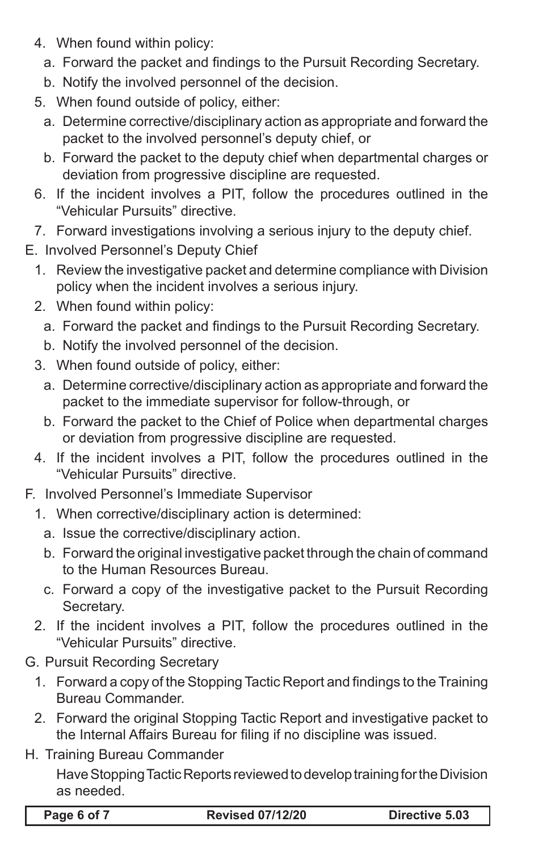- 4. When found within policy:
	- a. Forward the packet and findings to the Pursuit Recording Secretary.
	- b. Notify the involved personnel of the decision.
- 5. When found outside of policy, either:
	- a. Determine corrective/disciplinary action as appropriate and forward the packet to the involved personnel's deputy chief, or
	- b. Forward the packet to the deputy chief when departmental charges or deviation from progressive discipline are requested.
- 6. If the incident involves a PIT, follow the procedures outlined in the "Vehicular Pursuits" directive.
- 7. Forward investigations involving a serious injury to the deputy chief.
- E. Involved Personnel's Deputy Chief
	- 1. Review the investigative packet and determine compliance with Division policy when the incident involves a serious injury.
	- 2. When found within policy:
		- a. Forward the packet and findings to the Pursuit Recording Secretary.
		- b. Notify the involved personnel of the decision.
	- 3. When found outside of policy, either:
		- a. Determine corrective/disciplinary action as appropriate and forward the packet to the immediate supervisor for follow-through, or
		- b. Forward the packet to the Chief of Police when departmental charges or deviation from progressive discipline are requested.
	- 4. If the incident involves a PIT, follow the procedures outlined in the "Vehicular Pursuits" directive.
- F. Involved Personnel's Immediate Supervisor
	- 1. When corrective/disciplinary action is determined:
		- a. Issue the corrective/disciplinary action.
		- b. Forward the original investigative packet through the chain of command to the Human Resources Bureau.
		- c. Forward a copy of the investigative packet to the Pursuit Recording Secretary.
	- 2. If the incident involves a PIT, follow the procedures outlined in the "Vehicular Pursuits" directive.
- G. Pursuit Recording Secretary
	- 1. Forward a copy of the Stopping Tactic Report and findings to the Training Bureau Commander.
	- 2. Forward the original Stopping Tactic Report and investigative packet to the Internal Affairs Bureau for filing if no discipline was issued.
- H. Training Bureau Commander

Have Stopping Tactic Reports reviewed to develop training for the Division as needed.